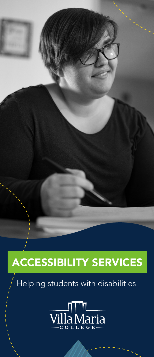# ACCESSIBILITY SERVICES

Helping students with disabilities.

Willa Maria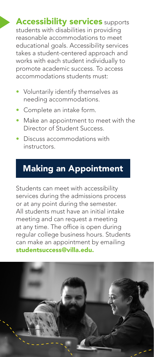**Accessibility services supports** students with disabilities in providing reasonable accommodations to meet educational goals. Accessibility services takes a student-centered approach and works with each student individually to promote academic success. To access accommodations students must:

- Voluntarily identify themselves as needing accommodations.
- Complete an intake form.
- Make an appointment to meet with the Director of Student Success.
- Discuss accommodations with instructors.

## Making an Appointment

Students can meet with accessibility services during the admissions process or at any point during the semester. All students must have an initial intake meeting and can request a meeting at any time. The office is open during regular college business hours. Students can make an appointment by emailing studentsuccess@villa.edu.

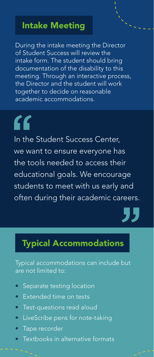### Intake Meeting

During the intake meeting the Director of Student Success will review the intake form. The student should bring documentation of the disability to this meeting. Through an interactive process, the Director and the student will work together to decide on reasonable academic accommodations.

# "

In the Student Success Center, we want to ensure everyone has the tools needed to access their educational goals. We encourage students to meet with us early and often during their academic careers.

# Typical Accommodations

Typical accommodations can include but are not limited to:

- Separate testing location
- Extended time on tests
- Test-questions read aloud
- LiveScribe pens for note-taking
- Tape recorder
- Textbooks in alternative formats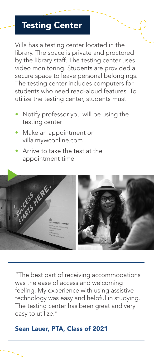## Testing Center

Villa has a testing center located in the library. The space is private and proctored by the library staff. The testing center uses video monitoring. Students are provided a secure space to leave personal belongings. The testing center includes computers for students who need read-aloud features. To utilize the testing center, students must:

- Notify professor you will be using the testing center
- Make an appointment on villa.mywconline.com
- Arrive to take the test at the appointment time



"The best part of receiving accommodations was the ease of access and welcoming feeling. My experience with using assistive technology was easy and helpful in studying. The testing center has been great and very easy to utilize."

#### Sean Lauer, PTA, Class of 2021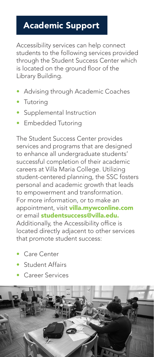# Academic Support

Accessibility services can help connect students to the following services provided through the Student Success Center which is located on the ground floor of the Library Building.

- Advising through Academic Coaches
- Tutoring
- Supplemental Instruction
- Embedded Tutoring

The Student Success Center provides services and programs that are designed to enhance all undergraduate students' successful completion of their academic careers at Villa Maria College. Utilizing student-centered planning, the SSC fosters personal and academic growth that leads to empowerment and transformation. For more information, or to make an appointment, visit villa.mywconline.com or email studentsuccess@villa.edu. Additionally, the Accessibility office is located directly adjacent to other services that promote student success:

- Care Center
- Student Affairs
- Career Services